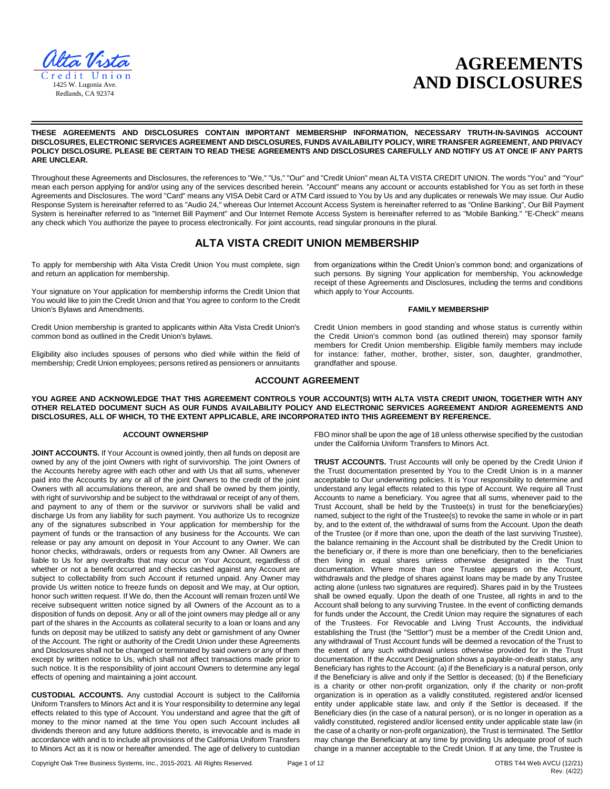

# **AGREEMENTS AND DISCLOSURES**

**THESE AGREEMENTS AND DISCLOSURES CONTAIN IMPORTANT MEMBERSHIP INFORMATION, NECESSARY TRUTH-IN-SAVINGS ACCOUNT DISCLOSURES, ELECTRONIC SERVICES AGREEMENT AND DISCLOSURES, FUNDS AVAILABILITY POLICY, WIRE TRANSFER AGREEMENT, AND PRIVACY POLICY DISCLOSURE. PLEASE BE CERTAIN TO READ THESE AGREEMENTS AND DISCLOSURES CAREFULLY AND NOTIFY US AT ONCE IF ANY PARTS ARE UNCLEAR.** 

Throughout these Agreements and Disclosures, the references to "We," "Us," "Our" and "Credit Union" mean ALTA VISTA CREDIT UNION. The words "You" and "Your" mean each person applying for and/or using any of the services described herein. "Account" means any account or accounts established for You as set forth in these Agreements and Disclosures. The word "Card" means any VISA Debit Card or ATM Card issued to You by Us and any duplicates or renewals We may issue. Our Audio Response System is hereinafter referred to as "Audio 24," whereas Our Internet Account Access System is hereinafter referred to as "Online Banking", Our Bill Payment System is hereinafter referred to as "Internet Bill Payment" and Our Internet Remote Access System is hereinafter referred to as "Mobile Banking." "E-Check" means any check which You authorize the payee to process electronically. For joint accounts, read singular pronouns in the plural.

# **ALTA VISTA CREDIT UNION MEMBERSHIP**

To apply for membership with Alta Vista Credit Union You must complete, sign and return an application for membership.

Your signature on Your application for membership informs the Credit Union that You would like to join the Credit Union and that You agree to conform to the Credit Union's Bylaws and Amendments.

Credit Union membership is granted to applicants within Alta Vista Credit Union's common bond as outlined in the Credit Union's bylaws.

Eligibility also includes spouses of persons who died while within the field of membership; Credit Union employees; persons retired as pensioners or annuitants from organizations within the Credit Union's common bond; and organizations of such persons. By signing Your application for membership, You acknowledge receipt of these Agreements and Disclosures, including the terms and conditions which apply to Your Accounts.

#### **FAMILY MEMBERSHIP**

Credit Union members in good standing and whose status is currently within the Credit Union's common bond (as outlined therein) may sponsor family members for Credit Union membership. Eligible family members may include for instance: father, mother, brother, sister, son, daughter, grandmother, grandfather and spouse.

# **ACCOUNT AGREEMENT**

**YOU AGREE AND ACKNOWLEDGE THAT THIS AGREEMENT CONTROLS YOUR ACCOUNT(S) WITH ALTA VISTA CREDIT UNION, TOGETHER WITH ANY OTHER RELATED DOCUMENT SUCH AS OUR FUNDS AVAILABILITY POLICY AND ELECTRONIC SERVICES AGREEMENT AND/OR AGREEMENTS AND DISCLOSURES, ALL OF WHICH, TO THE EXTENT APPLICABLE, ARE INCORPORATED INTO THIS AGREEMENT BY REFERENCE.** 

#### **ACCOUNT OWNERSHIP**

JOINT ACCOUNTS. If Your Account is owned jointly, then all funds on deposit are owned by any of the joint Owners with right of survivorship. The joint Owners of the Accounts hereby agree with each other and with Us that all sums, whenever paid into the Accounts by any or all of the joint Owners to the credit of the joint Owners with all accumulations thereon, are and shall be owned by them jointly, with right of survivorship and be subject to the withdrawal or receipt of any of them, and payment to any of them or the survivor or survivors shall be valid and discharge Us from any liability for such payment. You authorize Us to recognize any of the signatures subscribed in Your application for membership for the payment of funds or the transaction of any business for the Accounts. We can release or pay any amount on deposit in Your Account to any Owner. We can honor checks, withdrawals, orders or requests from any Owner. All Owners are liable to Us for any overdrafts that may occur on Your Account, regardless of whether or not a benefit occurred and checks cashed against any Account are subject to collectability from such Account if returned unpaid. Any Owner may provide Us written notice to freeze funds on deposit and We may, at Our option, honor such written request. If We do, then the Account will remain frozen until We receive subsequent written notice signed by all Owners of the Account as to a disposition of funds on deposit. Any or all of the joint owners may pledge all or any part of the shares in the Accounts as collateral security to a loan or loans and any funds on deposit may be utilized to satisfy any debt or garnishment of any Owner of the Account. The right or authority of the Credit Union under these Agreements and Disclosures shall not be changed or terminated by said owners or any of them except by written notice to Us, which shall not affect transactions made prior to such notice. It is the responsibility of joint account Owners to determine any legal effects of opening and maintaining a joint account.

**CUSTODIAL ACCOUNTS.** Any custodial Account is subject to the California Uniform Transfers to Minors Act and it is Your responsibility to determine any legal effects related to this type of Account. You understand and agree that the gift of money to the minor named at the time You open such Account includes all dividends thereon and any future additions thereto, is irrevocable and is made in accordance with and is to include all provisions of the California Uniform Transfers to Minors Act as it is now or hereafter amended. The age of delivery to custodian FBO minor shall be upon the age of 18 unless otherwise specified by the custodian under the California Uniform Transfers to Minors Act.

**TRUST ACCOUNTS.** Trust Accounts will only be opened by the Credit Union if the Trust documentation presented by You to the Credit Union is in a manner acceptable to Our underwriting policies. It is Your responsibility to determine and understand any legal effects related to this type of Account. We require all Trust Accounts to name a beneficiary. You agree that all sums, whenever paid to the Trust Account, shall be held by the Trustee(s) in trust for the beneficiary(ies) named, subject to the right of the Trustee(s) to revoke the same in whole or in part by, and to the extent of, the withdrawal of sums from the Account. Upon the death of the Trustee (or if more than one, upon the death of the last surviving Trustee), the balance remaining in the Account shall be distributed by the Credit Union to the beneficiary or, if there is more than one beneficiary, then to the beneficiaries then living in equal shares unless otherwise designated in the Trust documentation. Where more than one Trustee appears on the Account, withdrawals and the pledge of shares against loans may be made by any Trustee acting alone (unless two signatures are required). Shares paid in by the Trustees shall be owned equally. Upon the death of one Trustee, all rights in and to the Account shall belong to any surviving Trustee. In the event of conflicting demands for funds under the Account, the Credit Union may require the signatures of each of the Trustees. For Revocable and Living Trust Accounts, the individual establishing the Trust (the "Settlor") must be a member of the Credit Union and, any withdrawal of Trust Account funds will be deemed a revocation of the Trust to the extent of any such withdrawal unless otherwise provided for in the Trust documentation. If the Account Designation shows a payable-on-death status, any Beneficiary has rights to the Account: (a) if the Beneficiary is a natural person, only if the Beneficiary is alive and only if the Settlor is deceased; (b) if the Beneficiary is a charity or other non-profit organization, only if the charity or non-profit organization is in operation as a validly constituted, registered and/or licensed entity under applicable state law, and only if the Settlor is deceased. If the Beneficiary dies (in the case of a natural person), or is no longer in operation as a validly constituted, registered and/or licensed entity under applicable state law (in the case of a charity or non-profit organization), the Trust is terminated. The Settlor may change the Beneficiary at any time by providing Us adequate proof of such change in a manner acceptable to the Credit Union. If at any time, the Trustee is

Copyright Oak Tree Business Systems, Inc., 2015-2021. All Rights Reserved. Page 1 of 12 CTBS T44 Web AVCU (12/21)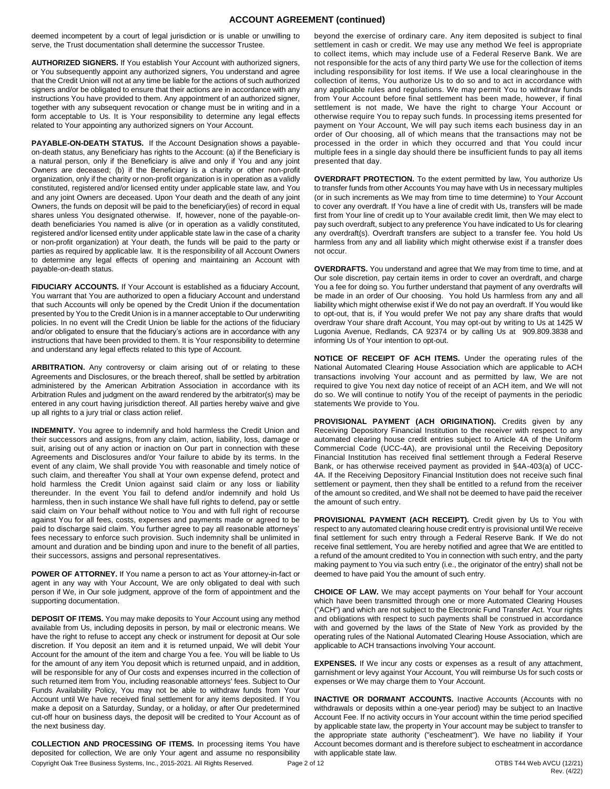# **ACCOUNT AGREEMENT (continued)**

deemed incompetent by a court of legal jurisdiction or is unable or unwilling to serve, the Trust documentation shall determine the successor Trustee.

**AUTHORIZED SIGNERS.** If You establish Your Account with authorized signers, or You subsequently appoint any authorized signers, You understand and agree that the Credit Union will not at any time be liable for the actions of such authorized signers and/or be obligated to ensure that their actions are in accordance with any instructions You have provided to them. Any appointment of an authorized signer, together with any subsequent revocation or change must be in writing and in a form acceptable to Us. It is Your responsibility to determine any legal effects related to Your appointing any authorized signers on Your Account.

**PAYABLE-ON-DEATH STATUS.** If the Account Designation shows a payableon-death status, any Beneficiary has rights to the Account: (a) if the Beneficiary is a natural person, only if the Beneficiary is alive and only if You and any joint Owners are deceased; (b) if the Beneficiary is a charity or other non-profit organization, only if the charity or non-profit organization is in operation as a validly constituted, registered and/or licensed entity under applicable state law, and You and any joint Owners are deceased. Upon Your death and the death of any joint Owners, the funds on deposit will be paid to the beneficiary(ies) of record in equal shares unless You designated otherwise. If, however, none of the payable-ondeath beneficiaries You named is alive (or in operation as a validly constituted, registered and/or licensed entity under applicable state law in the case of a charity or non-profit organization) at Your death, the funds will be paid to the party or parties as required by applicable law. It is the responsibility of all Account Owners to determine any legal effects of opening and maintaining an Account with payable-on-death status.

**FIDUCIARY ACCOUNTS.** If Your Account is established as a fiduciary Account, You warrant that You are authorized to open a fiduciary Account and understand that such Accounts will only be opened by the Credit Union if the documentation presented by You to the Credit Union is in a manner acceptable to Our underwriting policies. In no event will the Credit Union be liable for the actions of the fiduciary and/or obligated to ensure that the fiduciary's actions are in accordance with any instructions that have been provided to them. It is Your responsibility to determine and understand any legal effects related to this type of Account.

**ARBITRATION.** Any controversy or claim arising out of or relating to these Agreements and Disclosures, or the breach thereof, shall be settled by arbitration administered by the American Arbitration Association in accordance with its Arbitration Rules and judgment on the award rendered by the arbitrator(s) may be entered in any court having jurisdiction thereof. All parties hereby waive and give up all rights to a jury trial or class action relief.

**INDEMNITY.** You agree to indemnify and hold harmless the Credit Union and their successors and assigns, from any claim, action, liability, loss, damage or suit, arising out of any action or inaction on Our part in connection with these Agreements and Disclosures and/or Your failure to abide by its terms. In the event of any claim, We shall provide You with reasonable and timely notice of such claim, and thereafter You shall at Your own expense defend, protect and hold harmless the Credit Union against said claim or any loss or liability thereunder. In the event You fail to defend and/or indemnify and hold Us harmless, then in such instance We shall have full rights to defend, pay or settle said claim on Your behalf without notice to You and with full right of recourse against You for all fees, costs, expenses and payments made or agreed to be paid to discharge said claim. You further agree to pay all reasonable attorneys' fees necessary to enforce such provision. Such indemnity shall be unlimited in amount and duration and be binding upon and inure to the benefit of all parties, their successors, assigns and personal representatives.

**POWER OF ATTORNEY.** If You name a person to act as Your attorney-in-fact or agent in any way with Your Account, We are only obligated to deal with such person if We, in Our sole judgment, approve of the form of appointment and the supporting documentation.

**DEPOSIT OF ITEMS.** You may make deposits to Your Account using any method available from Us, including deposits in person, by mail or electronic means. We have the right to refuse to accept any check or instrument for deposit at Our sole discretion. If You deposit an item and it is returned unpaid, We will debit Your Account for the amount of the item and charge You a fee. You will be liable to Us for the amount of any item You deposit which is returned unpaid, and in addition, will be responsible for any of Our costs and expenses incurred in the collection of such returned item from You, including reasonable attorneys' fees. Subject to Our Funds Availability Policy, You may not be able to withdraw funds from Your Account until We have received final settlement for any items deposited. If You make a deposit on a Saturday, Sunday, or a holiday, or after Our predetermined cut-off hour on business days, the deposit will be credited to Your Account as of the next business day.

Copyright Oak Tree Business Systems, Inc., 2015-2021. All Rights Reserved. Page 2 of 12 COMES TAME COST ASSETTED THAT MANNER (12/21) **COLLECTION AND PROCESSING OF ITEMS.** In processing items You have deposited for collection, We are only Your agent and assume no responsibility

beyond the exercise of ordinary care. Any item deposited is subject to final settlement in cash or credit. We may use any method We feel is appropriate to collect items, which may include use of a Federal Reserve Bank. We are not responsible for the acts of any third party We use for the collection of items including responsibility for lost items. If We use a local clearinghouse in the collection of items, You authorize Us to do so and to act in accordance with any applicable rules and regulations. We may permit You to withdraw funds from Your Account before final settlement has been made, however, if final settlement is not made, We have the right to charge Your Account or otherwise require You to repay such funds. In processing items presented for payment on Your Account, We will pay such items each business day in an order of Our choosing, all of which means that the transactions may not be processed in the order in which they occurred and that You could incur multiple fees in a single day should there be insufficient funds to pay all items presented that day.

**OVERDRAFT PROTECTION.** To the extent permitted by law, You authorize Us to transfer funds from other Accounts You may have with Us in necessary multiples (or in such increments as We may from time to time determine) to Your Account to cover any overdraft. If You have a line of credit with Us, transfers will be made first from Your line of credit up to Your available credit limit, then We may elect to pay such overdraft, subject to any preference You have indicated to Us for clearing any overdraft(s). Overdraft transfers are subject to a transfer fee. You hold Us harmless from any and all liability which might otherwise exist if a transfer does not occur.

**OVERDRAFTS.** You understand and agree that We may from time to time, and at Our sole discretion, pay certain items in order to cover an overdraft, and charge You a fee for doing so. You further understand that payment of any overdrafts will be made in an order of Our choosing. You hold Us harmless from any and all liability which might otherwise exist if We do not pay an overdraft. If You would like to opt-out, that is, if You would prefer We not pay any share drafts that would overdraw Your share draft Account, You may opt-out by writing to Us at 1425 W Lugonia Avenue, Redlands, CA 92374 or by calling Us at 909.809.3838 and informing Us of Your intention to opt-out.

**NOTICE OF RECEIPT OF ACH ITEMS.** Under the operating rules of the National Automated Clearing House Association which are applicable to ACH transactions involving Your account and as permitted by law, We are not required to give You next day notice of receipt of an ACH item, and We will not do so. We will continue to notify You of the receipt of payments in the periodic statements We provide to You.

**PROVISIONAL PAYMENT (ACH ORIGINATION).** Credits given by any Receiving Depository Financial Institution to the receiver with respect to any automated clearing house credit entries subject to Article 4A of the Uniform Commercial Code (UCC-4A), are provisional until the Receiving Depository Financial Institution has received final settlement through a Federal Reserve Bank, or has otherwise received payment as provided in §4A-403(a) of UCC-4A. If the Receiving Depository Financial Institution does not receive such final settlement or payment, then they shall be entitled to a refund from the receiver of the amount so credited, and We shall not be deemed to have paid the receiver the amount of such entry.

**PROVISIONAL PAYMENT (ACH RECEIPT).** Credit given by Us to You with respect to any automated clearing house credit entry is provisional until We receive final settlement for such entry through a Federal Reserve Bank. If We do not receive final settlement, You are hereby notified and agree that We are entitled to a refund of the amount credited to You in connection with such entry, and the party making payment to You via such entry (i.e., the originator of the entry) shall not be deemed to have paid You the amount of such entry.

**CHOICE OF LAW.** We may accept payments on Your behalf for Your account which have been transmitted through one or more Automated Clearing Houses ("ACH") and which are not subject to the Electronic Fund Transfer Act. Your rights and obligations with respect to such payments shall be construed in accordance with and governed by the laws of the State of New York as provided by the operating rules of the National Automated Clearing House Association, which are applicable to ACH transactions involving Your account.

**EXPENSES.** If We incur any costs or expenses as a result of any attachment, garnishment or levy against Your Account, You will reimburse Us for such costs or expenses or We may charge them to Your Account.

**INACTIVE OR DORMANT ACCOUNTS.** Inactive Accounts (Accounts with no withdrawals or deposits within a one-year period) may be subject to an Inactive Account Fee. If no activity occurs in Your account within the time period specified by applicable state law, the property in Your account may be subject to transfer to the appropriate state authority ("escheatment"). We have no liability if Your Account becomes dormant and is therefore subject to escheatment in accordance with applicable state law.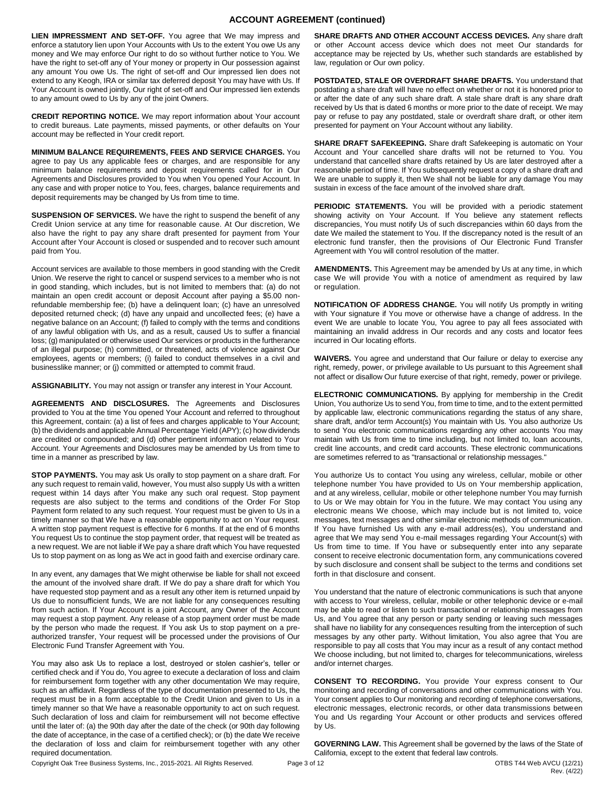# **ACCOUNT AGREEMENT (continued)**

**LIEN IMPRESSMENT AND SET-OFF.** You agree that We may impress and enforce a statutory lien upon Your Accounts with Us to the extent You owe Us any money and We may enforce Our right to do so without further notice to You. We have the right to set-off any of Your money or property in Our possession against any amount You owe Us. The right of set-off and Our impressed lien does not extend to any Keogh, IRA or similar tax deferred deposit You may have with Us. If Your Account is owned jointly, Our right of set-off and Our impressed lien extends to any amount owed to Us by any of the joint Owners.

**CREDIT REPORTING NOTICE.** We may report information about Your account to credit bureaus. Late payments, missed payments, or other defaults on Your account may be reflected in Your credit report.

**MINIMUM BALANCE REQUIREMENTS, FEES AND SERVICE CHARGES.** You agree to pay Us any applicable fees or charges, and are responsible for any minimum balance requirements and deposit requirements called for in Our Agreements and Disclosures provided to You when You opened Your Account. In any case and with proper notice to You, fees, charges, balance requirements and deposit requirements may be changed by Us from time to time.

**SUSPENSION OF SERVICES.** We have the right to suspend the benefit of any Credit Union service at any time for reasonable cause. At Our discretion, We also have the right to pay any share draft presented for payment from Your Account after Your Account is closed or suspended and to recover such amount paid from You.

Account services are available to those members in good standing with the Credit Union. We reserve the right to cancel or suspend services to a member who is not in good standing, which includes, but is not limited to members that: (a) do not maintain an open credit account or deposit Account after paying a \$5.00 nonrefundable membership fee; (b) have a delinquent loan; (c) have an unresolved deposited returned check; (d) have any unpaid and uncollected fees; (e) have a negative balance on an Account; (f) failed to comply with the terms and conditions of any lawful obligation with Us, and as a result, caused Us to suffer a financial loss; (g) manipulated or otherwise used Our services or products in the furtherance of an illegal purpose; (h) committed, or threatened, acts of violence against Our employees, agents or members; (i) failed to conduct themselves in a civil and businesslike manner; or (j) committed or attempted to commit fraud.

**ASSIGNABILITY.** You may not assign or transfer any interest in Your Account.

**AGREEMENTS AND DISCLOSURES.** The Agreements and Disclosures provided to You at the time You opened Your Account and referred to throughout this Agreement, contain: (a) a list of fees and charges applicable to Your Account; (b) the dividends and applicable Annual Percentage Yield (APY); (c) how dividends are credited or compounded; and (d) other pertinent information related to Your Account. Your Agreements and Disclosures may be amended by Us from time to time in a manner as prescribed by law.

**STOP PAYMENTS.** You may ask Us orally to stop payment on a share draft. For any such request to remain valid, however, You must also supply Us with a written request within 14 days after You make any such oral request. Stop payment requests are also subject to the terms and conditions of the Order For Stop Payment form related to any such request. Your request must be given to Us in a timely manner so that We have a reasonable opportunity to act on Your request. A written stop payment request is effective for 6 months. If at the end of 6 months You request Us to continue the stop payment order, that request will be treated as a new request. We are not liable if We pay a share draft which You have requested Us to stop payment on as long as We act in good faith and exercise ordinary care.

In any event, any damages that We might otherwise be liable for shall not exceed the amount of the involved share draft. If We do pay a share draft for which You have requested stop payment and as a result any other item is returned unpaid by Us due to nonsufficient funds, We are not liable for any consequences resulting from such action. If Your Account is a joint Account, any Owner of the Account may request a stop payment. Any release of a stop payment order must be made by the person who made the request. If You ask Us to stop payment on a preauthorized transfer, Your request will be processed under the provisions of Our Electronic Fund Transfer Agreement with You.

You may also ask Us to replace a lost, destroyed or stolen cashier's, teller or certified check and if You do, You agree to execute a declaration of loss and claim for reimbursement form together with any other documentation We may require, such as an affidavit. Regardless of the type of documentation presented to Us, the request must be in a form acceptable to the Credit Union and given to Us in a timely manner so that We have a reasonable opportunity to act on such request. Such declaration of loss and claim for reimbursement will not become effective until the later of: (a) the 90th day after the date of the check (or 90th day following the date of acceptance, in the case of a certified check); or (b) the date We receive the declaration of loss and claim for reimbursement together with any other required documentation.

**SHARE DRAFTS AND OTHER ACCOUNT ACCESS DEVICES.** Any share draft or other Account access device which does not meet Our standards for acceptance may be rejected by Us, whether such standards are established by law, regulation or Our own policy.

**POSTDATED, STALE OR OVERDRAFT SHARE DRAFTS.** You understand that postdating a share draft will have no effect on whether or not it is honored prior to or after the date of any such share draft. A stale share draft is any share draft received by Us that is dated 6 months or more prior to the date of receipt. We may pay or refuse to pay any postdated, stale or overdraft share draft, or other item presented for payment on Your Account without any liability.

SHARE DRAFT SAFEKEEPING. Share draft Safekeeping is automatic on Your Account and Your cancelled share drafts will not be returned to You. You understand that cancelled share drafts retained by Us are later destroyed after a reasonable period of time. If You subsequently request a copy of a share draft and We are unable to supply it, then We shall not be liable for any damage You may sustain in excess of the face amount of the involved share draft.

**PERIODIC STATEMENTS.** You will be provided with a periodic statement showing activity on Your Account. If You believe any statement reflects discrepancies, You must notify Us of such discrepancies within 60 days from the date We mailed the statement to You. If the discrepancy noted is the result of an electronic fund transfer, then the provisions of Our Electronic Fund Transfer Agreement with You will control resolution of the matter.

**AMENDMENTS.** This Agreement may be amended by Us at any time, in which case We will provide You with a notice of amendment as required by law or regulation.

**NOTIFICATION OF ADDRESS CHANGE.** You will notify Us promptly in writing with Your signature if You move or otherwise have a change of address. In the event We are unable to locate You, You agree to pay all fees associated with maintaining an invalid address in Our records and any costs and locator fees incurred in Our locating efforts.

**WAIVERS.** You agree and understand that Our failure or delay to exercise any right, remedy, power, or privilege available to Us pursuant to this Agreement shall not affect or disallow Our future exercise of that right, remedy, power or privilege.

**ELECTRONIC COMMUNICATIONS.** By applying for membership in the Credit Union, You authorize Us to send You, from time to time, and to the extent permitted by applicable law, electronic communications regarding the status of any share, share draft, and/or term Account(s) You maintain with Us. You also authorize Us to send You electronic communications regarding any other accounts You may maintain with Us from time to time including, but not limited to, loan accounts, credit line accounts, and credit card accounts. These electronic communications are sometimes referred to as "transactional or relationship messages."

You authorize Us to contact You using any wireless, cellular, mobile or other telephone number You have provided to Us on Your membership application, and at any wireless, cellular, mobile or other telephone number You may furnish to Us or We may obtain for You in the future. We may contact You using any electronic means We choose, which may include but is not limited to, voice messages, text messages and other similar electronic methods of communication. If You have furnished Us with any e-mail address(es), You understand and agree that We may send You e-mail messages regarding Your Account(s) with Us from time to time. If You have or subsequently enter into any separate consent to receive electronic documentation form, any communications covered by such disclosure and consent shall be subject to the terms and conditions set forth in that disclosure and consent.

You understand that the nature of electronic communications is such that anyone with access to Your wireless, cellular, mobile or other telephonic device or e-mail may be able to read or listen to such transactional or relationship messages from Us, and You agree that any person or party sending or leaving such messages shall have no liability for any consequences resulting from the interception of such messages by any other party. Without limitation, You also agree that You are responsible to pay all costs that You may incur as a result of any contact method We choose including, but not limited to, charges for telecommunications, wireless and/or internet charges.

**CONSENT TO RECORDING.** You provide Your express consent to Our monitoring and recording of conversations and other communications with You. Your consent applies to Our monitoring and recording of telephone conversations, electronic messages, electronic records, or other data transmissions between You and Us regarding Your Account or other products and services offered by Us.

**GOVERNING LAW.** This Agreement shall be governed by the laws of the State of California, except to the extent that federal law controls.

Copyright Oak Tree Business Systems, Inc., 2015-2021. All Rights Reserved. Page 3 of 12 OTBS T44 Web AVCU (12/21)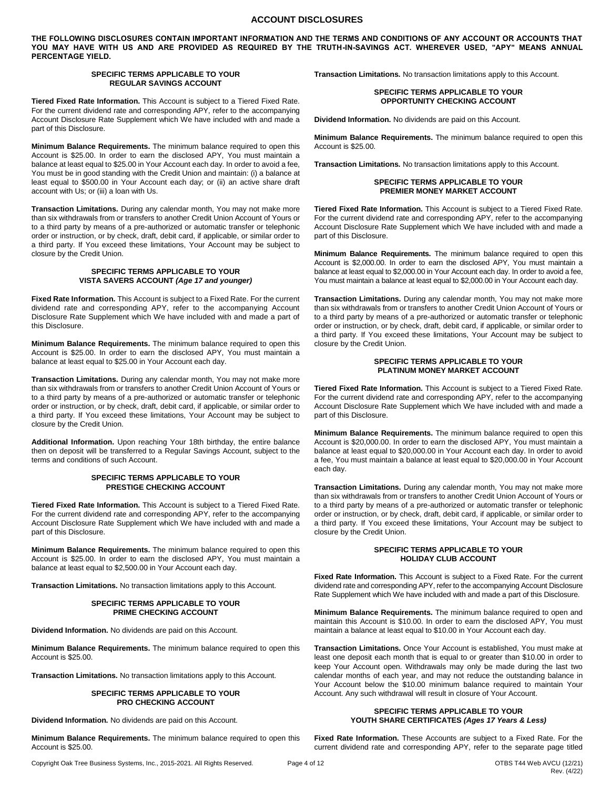### **ACCOUNT DISCLOSURES**

**THE FOLLOWING DISCLOSURES CONTAIN IMPORTANT INFORMATION AND THE TERMS AND CONDITIONS OF ANY ACCOUNT OR ACCOUNTS THAT YOU MAY HAVE WITH US AND ARE PROVIDED AS REQUIRED BY THE TRUTH-IN-SAVINGS ACT. WHEREVER USED, "APY" MEANS ANNUAL PERCENTAGE YIELD.** 

#### **SPECIFIC TERMS APPLICABLE TO YOUR REGULAR SAVINGS ACCOUNT**

**Tiered Fixed Rate Information.** This Account is subject to a Tiered Fixed Rate. For the current dividend rate and corresponding APY, refer to the accompanying Account Disclosure Rate Supplement which We have included with and made a part of this Disclosure.

**Minimum Balance Requirements.** The minimum balance required to open this Account is \$25.00. In order to earn the disclosed APY, You must maintain a balance at least equal to \$25.00 in Your Account each day. In order to avoid a fee, You must be in good standing with the Credit Union and maintain: (i) a balance at least equal to \$500.00 in Your Account each day; or (ii) an active share draft account with Us; or (iii) a loan with Us.

**Transaction Limitations.** During any calendar month, You may not make more than six withdrawals from or transfers to another Credit Union Account of Yours or to a third party by means of a pre-authorized or automatic transfer or telephonic order or instruction, or by check, draft, debit card, if applicable, or similar order to a third party. If You exceed these limitations, Your Account may be subject to closure by the Credit Union.

#### **SPECIFIC TERMS APPLICABLE TO YOUR VISTA SAVERS ACCOUNT** *(Age 17 and younger)*

**Fixed Rate Information.** This Account is subject to a Fixed Rate. For the current dividend rate and corresponding APY, refer to the accompanying Account Disclosure Rate Supplement which We have included with and made a part of this Disclosure.

**Minimum Balance Requirements.** The minimum balance required to open this Account is \$25.00. In order to earn the disclosed APY, You must maintain a balance at least equal to \$25.00 in Your Account each day.

**Transaction Limitations.** During any calendar month, You may not make more than six withdrawals from or transfers to another Credit Union Account of Yours or to a third party by means of a pre-authorized or automatic transfer or telephonic order or instruction, or by check, draft, debit card, if applicable, or similar order to a third party. If You exceed these limitations, Your Account may be subject to closure by the Credit Union.

**Additional Information.** Upon reaching Your 18th birthday, the entire balance then on deposit will be transferred to a Regular Savings Account, subject to the terms and conditions of such Account.

# **SPECIFIC TERMS APPLICABLE TO YOUR PRESTIGE CHECKING ACCOUNT**

**Tiered Fixed Rate Information.** This Account is subject to a Tiered Fixed Rate. For the current dividend rate and corresponding APY, refer to the accompanying Account Disclosure Rate Supplement which We have included with and made a part of this Disclosure.

**Minimum Balance Requirements.** The minimum balance required to open this Account is \$25.00. In order to earn the disclosed APY, You must maintain a balance at least equal to \$2,500.00 in Your Account each day.

**Transaction Limitations.** No transaction limitations apply to this Account.

#### **SPECIFIC TERMS APPLICABLE TO YOUR PRIME CHECKING ACCOUNT**

**Dividend Information.** No dividends are paid on this Account.

**Minimum Balance Requirements.** The minimum balance required to open this Account is \$25.00.

**Transaction Limitations.** No transaction limitations apply to this Account.

#### **SPECIFIC TERMS APPLICABLE TO YOUR PRO CHECKING ACCOUNT**

**Dividend Information.** No dividends are paid on this Account.

**Minimum Balance Requirements.** The minimum balance required to open this Account is \$25.00.

**Transaction Limitations.** No transaction limitations apply to this Account.

#### **SPECIFIC TERMS APPLICABLE TO YOUR OPPORTUNITY CHECKING ACCOUNT**

**Dividend Information.** No dividends are paid on this Account.

**Minimum Balance Requirements.** The minimum balance required to open this Account is \$25.00.

**Transaction Limitations.** No transaction limitations apply to this Account.

#### **SPECIFIC TERMS APPLICABLE TO YOUR PREMIER MONEY MARKET ACCOUNT**

**Tiered Fixed Rate Information.** This Account is subject to a Tiered Fixed Rate. For the current dividend rate and corresponding APY, refer to the accompanying Account Disclosure Rate Supplement which We have included with and made a part of this Disclosure.

**Minimum Balance Requirements.** The minimum balance required to open this Account is \$2,000.00. In order to earn the disclosed APY, You must maintain a balance at least equal to \$2,000.00 in Your Account each day. In order to avoid a fee, You must maintain a balance at least equal to \$2,000.00 in Your Account each day.

**Transaction Limitations.** During any calendar month, You may not make more than six withdrawals from or transfers to another Credit Union Account of Yours or to a third party by means of a pre-authorized or automatic transfer or telephonic order or instruction, or by check, draft, debit card, if applicable, or similar order to a third party. If You exceed these limitations, Your Account may be subject to closure by the Credit Union.

#### **SPECIFIC TERMS APPLICABLE TO YOUR PLATINUM MONEY MARKET ACCOUNT**

**Tiered Fixed Rate Information.** This Account is subject to a Tiered Fixed Rate. For the current dividend rate and corresponding APY, refer to the accompanying Account Disclosure Rate Supplement which We have included with and made a part of this Disclosure.

**Minimum Balance Requirements.** The minimum balance required to open this Account is \$20,000.00. In order to earn the disclosed APY, You must maintain a balance at least equal to \$20,000.00 in Your Account each day. In order to avoid a fee, You must maintain a balance at least equal to \$20,000.00 in Your Account each day.

**Transaction Limitations.** During any calendar month, You may not make more than six withdrawals from or transfers to another Credit Union Account of Yours or to a third party by means of a pre-authorized or automatic transfer or telephonic order or instruction, or by check, draft, debit card, if applicable, or similar order to a third party. If You exceed these limitations, Your Account may be subject to closure by the Credit Union.

#### **SPECIFIC TERMS APPLICABLE TO YOUR HOLIDAY CLUB ACCOUNT**

**Fixed Rate Information.** This Account is subject to a Fixed Rate. For the current dividend rate and corresponding APY, refer to the accompanying Account Disclosure Rate Supplement which We have included with and made a part of this Disclosure.

**Minimum Balance Requirements.** The minimum balance required to open and maintain this Account is \$10.00. In order to earn the disclosed APY, You must maintain a balance at least equal to \$10.00 in Your Account each day.

**Transaction Limitations.** Once Your Account is established, You must make at least one deposit each month that is equal to or greater than \$10.00 in order to keep Your Account open. Withdrawals may only be made during the last two calendar months of each year, and may not reduce the outstanding balance in Your Account below the \$10.00 minimum balance required to maintain Your Account. Any such withdrawal will result in closure of Your Account.

# **SPECIFIC TERMS APPLICABLE TO YOUR YOUTH SHARE CERTIFICATES** *(Ages 17 Years & Less)*

**Fixed Rate Information.** These Accounts are subject to a Fixed Rate. For the current dividend rate and corresponding APY, refer to the separate page titled

Copyright Oak Tree Business Systems, Inc., 2015-2021. All Rights Reserved. Page 4 of 12 OTBS T44 Web AVCU (12/21)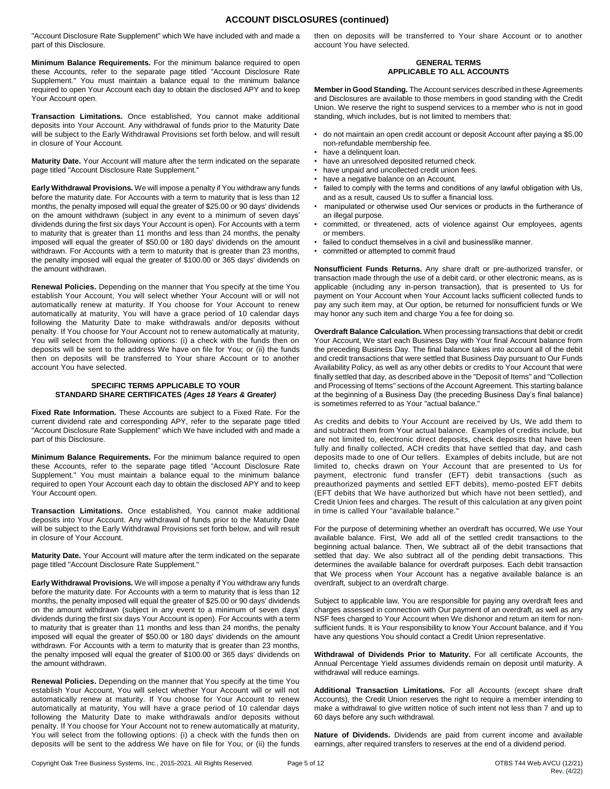# **ACCOUNT DISCLOSURES (continued)**

"Account Disclosure Rate Supplement" which We have included with and made a part of this Disclosure.

**Minimum Balance Requirements.** For the minimum balance required to open these Accounts, refer to the separate page titled "Account Disclosure Rate Supplement." You must maintain a balance equal to the minimum balance required to open Your Account each day to obtain the disclosed APY and to keep Your Account open.

**Transaction Limitations.** Once established, You cannot make additional deposits into Your Account. Any withdrawal of funds prior to the Maturity Date will be subject to the Early Withdrawal Provisions set forth below, and will result in closure of Your Account.

**Maturity Date.** Your Account will mature after the term indicated on the separate page titled "Account Disclosure Rate Supplement."

**Early Withdrawal Provisions.** We will impose a penalty if You withdraw any funds before the maturity date. For Accounts with a term to maturity that is less than 12 months, the penalty imposed will equal the greater of \$25.00 or 90 days' dividends on the amount withdrawn (subject in any event to a minimum of seven days' dividends during the first six days Your Account is open). For Accounts with a term to maturity that is greater than 11 months and less than 24 months, the penalty imposed will equal the greater of \$50.00 or 180 days' dividends on the amount withdrawn. For Accounts with a term to maturity that is greater than 23 months, the penalty imposed will equal the greater of \$100.00 or 365 days' dividends on the amount withdrawn.

**Renewal Policies.** Depending on the manner that You specify at the time You establish Your Account, You will select whether Your Account will or will not automatically renew at maturity. If You choose for Your Account to renew automatically at maturity, You will have a grace period of 10 calendar days following the Maturity Date to make withdrawals and/or deposits without penalty. If You choose for Your Account not to renew automatically at maturity, You will select from the following options: (i) a check with the funds then on deposits will be sent to the address We have on file for You; or (ii) the funds then on deposits will be transferred to Your share Account or to another account You have selected.

#### **SPECIFIC TERMS APPLICABLE TO YOUR STANDARD SHARE CERTIFICATES** *(Ages 18 Years & Greater)*

**Fixed Rate Information.** These Accounts are subject to a Fixed Rate. For the current dividend rate and corresponding APY, refer to the separate page titled "Account Disclosure Rate Supplement" which We have included with and made a part of this Disclosure.

**Minimum Balance Requirements.** For the minimum balance required to open these Accounts, refer to the separate page titled "Account Disclosure Rate Supplement." You must maintain a balance equal to the minimum balance required to open Your Account each day to obtain the disclosed APY and to keep Your Account open.

**Transaction Limitations.** Once established, You cannot make additional deposits into Your Account. Any withdrawal of funds prior to the Maturity Date will be subject to the Early Withdrawal Provisions set forth below, and will result in closure of Your Account.

**Maturity Date.** Your Account will mature after the term indicated on the separate page titled "Account Disclosure Rate Supplement."

**Early Withdrawal Provisions.** We will impose a penalty if You withdraw any funds before the maturity date. For Accounts with a term to maturity that is less than 12 months, the penalty imposed will equal the greater of \$25.00 or 90 days' dividends on the amount withdrawn (subject in any event to a minimum of seven days' dividends during the first six days Your Account is open). For Accounts with a term to maturity that is greater than 11 months and less than 24 months, the penalty imposed will equal the greater of \$50.00 or 180 days' dividends on the amount withdrawn. For Accounts with a term to maturity that is greater than 23 months, the penalty imposed will equal the greater of \$100.00 or 365 days' dividends on the amount withdrawn.

**Renewal Policies.** Depending on the manner that You specify at the time You establish Your Account, You will select whether Your Account will or will not automatically renew at maturity. If You choose for Your Account to renew automatically at maturity, You will have a grace period of 10 calendar days following the Maturity Date to make withdrawals and/or deposits without penalty. If You choose for Your Account not to renew automatically at maturity, You will select from the following options: (i) a check with the funds then on deposits will be sent to the address We have on file for You; or (ii) the funds then on deposits will be transferred to Your share Account or to another account You have selected.

#### **GENERAL TERMS APPLICABLE TO ALL ACCOUNTS**

**Member in Good Standing.** The Account services described in these Agreements and Disclosures are available to those members in good standing with the Credit Union. We reserve the right to suspend services to a member who is not in good standing, which includes, but is not limited to members that:

- do not maintain an open credit account or deposit Account after paying a \$5.00 non-refundable membership fee.
- have a delinquent loan.
- have an unresolved deposited returned check.
- have unpaid and uncollected credit union fees.
- have a negative balance on an Account.
- failed to comply with the terms and conditions of any lawful obligation with Us, and as a result, caused Us to suffer a financial loss.
- manipulated or otherwise used Our services or products in the furtherance of an illegal purpose.
- committed, or threatened, acts of violence against Our employees, agents or members.
- failed to conduct themselves in a civil and businesslike manner.
- committed or attempted to commit fraud

**Nonsufficient Funds Returns.** Any share draft or pre-authorized transfer, or transaction made through the use of a debit card, or other electronic means, as is applicable (including any in-person transaction), that is presented to Us for payment on Your Account when Your Account lacks sufficient collected funds to pay any such item may, at Our option, be returned for nonsufficient funds or We may honor any such item and charge You a fee for doing so.

**Overdraft Balance Calculation.** When processing transactions that debit or credit Your Account, We start each Business Day with Your final Account balance from the preceding Business Day. The final balance takes into account all of the debit and credit transactions that were settled that Business Day pursuant to Our Funds Availability Policy, as well as any other debits or credits to Your Account that were finally settled that day, as described above in the "Deposit of Items" and "Collection and Processing of Items" sections of the Account Agreement. This starting balance at the beginning of a Business Day (the preceding Business Day's final balance) is sometimes referred to as Your "actual balance."

As credits and debits to Your Account are received by Us, We add them to and subtract them from Your actual balance. Examples of credits include, but are not limited to, electronic direct deposits, check deposits that have been fully and finally collected, ACH credits that have settled that day, and cash deposits made to one of Our tellers. Examples of debits include, but are not limited to, checks drawn on Your Account that are presented to Us for payment, electronic fund transfer (EFT) debit transactions (such as preauthorized payments and settled EFT debits), memo-posted EFT debits (EFT debits that We have authorized but which have not been settled), and Credit Union fees and charges. The result of this calculation at any given point in time is called Your "available balance."

For the purpose of determining whether an overdraft has occurred, We use Your available balance. First, We add all of the settled credit transactions to the beginning actual balance. Then, We subtract all of the debit transactions that settled that day. We also subtract all of the pending debit transactions. This determines the available balance for overdraft purposes. Each debit transaction that We process when Your Account has a negative available balance is an overdraft, subject to an overdraft charge.

Subject to applicable law, You are responsible for paying any overdraft fees and charges assessed in connection with Our payment of an overdraft, as well as any NSF fees charged to Your Account when We dishonor and return an item for nonsufficient funds. It is Your responsibility to know Your Account balance, and if You have any questions You should contact a Credit Union representative.

**Withdrawal of Dividends Prior to Maturity.** For all certificate Accounts, the Annual Percentage Yield assumes dividends remain on deposit until maturity. A withdrawal will reduce earnings.

**Additional Transaction Limitations.** For all Accounts (except share draft Accounts), the Credit Union reserves the right to require a member intending to make a withdrawal to give written notice of such intent not less than 7 and up to 60 days before any such withdrawal.

**Nature of Dividends.** Dividends are paid from current income and available earnings, after required transfers to reserves at the end of a dividend period.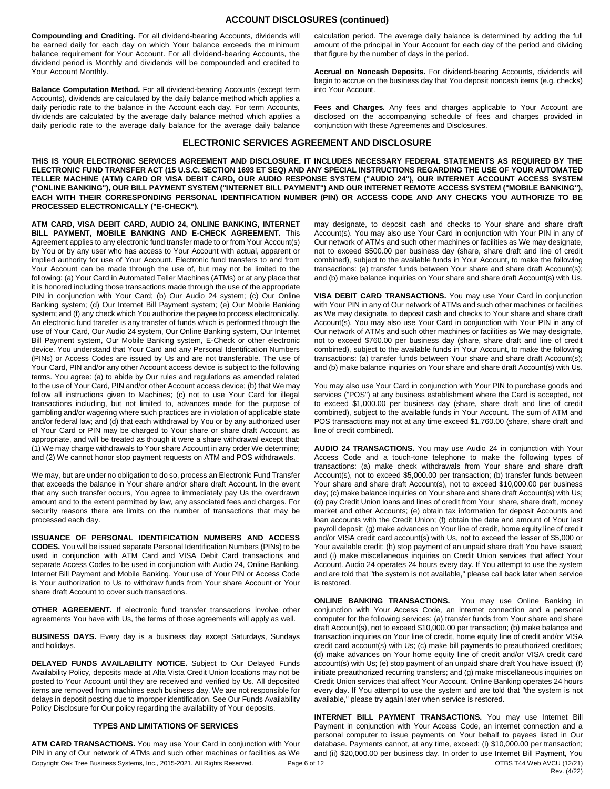**Compounding and Crediting.** For all dividend-bearing Accounts, dividends will be earned daily for each day on which Your balance exceeds the minimum balance requirement for Your Account. For all dividend-bearing Accounts, the dividend period is Monthly and dividends will be compounded and credited to Your Account Monthly.

**Balance Computation Method.** For all dividend-bearing Accounts (except term Accounts), dividends are calculated by the daily balance method which applies a daily periodic rate to the balance in the Account each day. For term Accounts, dividends are calculated by the average daily balance method which applies a daily periodic rate to the average daily balance for the average daily balance

calculation period. The average daily balance is determined by adding the full amount of the principal in Your Account for each day of the period and dividing that figure by the number of days in the period.

**Accrual on Noncash Deposits.** For dividend-bearing Accounts, dividends will begin to accrue on the business day that You deposit noncash items (e.g. checks) into Your Account.

**Fees and Charges.** Any fees and charges applicable to Your Account are disclosed on the accompanying schedule of fees and charges provided in conjunction with these Agreements and Disclosures.

# **ELECTRONIC SERVICES AGREEMENT AND DISCLOSURE**

**THIS IS YOUR ELECTRONIC SERVICES AGREEMENT AND DISCLOSURE. IT INCLUDES NECESSARY FEDERAL STATEMENTS AS REQUIRED BY THE ELECTRONIC FUND TRANSFER ACT (15 U.S.C. SECTION 1693 ET SEQ) AND ANY SPECIAL INSTRUCTIONS REGARDING THE USE OF YOUR AUTOMATED TELLER MACHINE (ATM) CARD OR VISA DEBIT CARD, OUR AUDIO RESPONSE SYSTEM ("AUDIO 24"), OUR INTERNET ACCOUNT ACCESS SYSTEM ("ONLINE BANKING"), OUR BILL PAYMENT SYSTEM ("INTERNET BILL PAYMENT") AND OUR INTERNET REMOTE ACCESS SYSTEM ("MOBILE BANKING"), EACH WITH THEIR CORRESPONDING PERSONAL IDENTIFICATION NUMBER (PIN) OR ACCESS CODE AND ANY CHECKS YOU AUTHORIZE TO BE PROCESSED ELECTRONICALLY ("E-CHECK").** 

**ATM CARD, VISA DEBIT CARD, AUDIO 24, ONLINE BANKING, INTERNET BILL PAYMENT, MOBILE BANKING AND E-CHECK AGREEMENT.** This Agreement applies to any electronic fund transfer made to or from Your Account(s) by You or by any user who has access to Your Account with actual, apparent or implied authority for use of Your Account. Electronic fund transfers to and from Your Account can be made through the use of, but may not be limited to the following: (a) Your Card in Automated Teller Machines (ATMs) or at any place that it is honored including those transactions made through the use of the appropriate PIN in conjunction with Your Card; (b) Our Audio 24 system; (c) Our Online Banking system; (d) Our Internet Bill Payment system; (e) Our Mobile Banking system; and (f) any check which You authorize the payee to process electronically. An electronic fund transfer is any transfer of funds which is performed through the use of Your Card, Our Audio 24 system, Our Online Banking system, Our Internet Bill Payment system, Our Mobile Banking system, E-Check or other electronic device. You understand that Your Card and any Personal Identification Numbers (PINs) or Access Codes are issued by Us and are not transferable. The use of Your Card, PIN and/or any other Account access device is subject to the following terms. You agree: (a) to abide by Our rules and regulations as amended related to the use of Your Card, PIN and/or other Account access device; (b) that We may follow all instructions given to Machines; (c) not to use Your Card for illegal transactions including, but not limited to, advances made for the purpose of gambling and/or wagering where such practices are in violation of applicable state and/or federal law; and (d) that each withdrawal by You or by any authorized user of Your Card or PIN may be charged to Your share or share draft Account, as appropriate, and will be treated as though it were a share withdrawal except that: (1) We may charge withdrawals to Your share Account in any order We determine; and (2) We cannot honor stop payment requests on ATM and POS withdrawals.

We may, but are under no obligation to do so, process an Electronic Fund Transfer that exceeds the balance in Your share and/or share draft Account. In the event that any such transfer occurs, You agree to immediately pay Us the overdrawn amount and to the extent permitted by law, any associated fees and charges. For security reasons there are limits on the number of transactions that may be processed each day.

**ISSUANCE OF PERSONAL IDENTIFICATION NUMBERS AND ACCESS CODES.** You will be issued separate Personal Identification Numbers (PINs) to be used in conjunction with ATM Card and VISA Debit Card transactions and separate Access Codes to be used in conjunction with Audio 24, Online Banking, Internet Bill Payment and Mobile Banking. Your use of Your PIN or Access Code is Your authorization to Us to withdraw funds from Your share Account or Your share draft Account to cover such transactions.

**OTHER AGREEMENT.** If electronic fund transfer transactions involve other agreements You have with Us, the terms of those agreements will apply as well.

**BUSINESS DAYS.** Every day is a business day except Saturdays, Sundays and holidays.

**DELAYED FUNDS AVAILABILITY NOTICE.** Subject to Our Delayed Funds Availability Policy, deposits made at Alta Vista Credit Union locations may not be posted to Your Account until they are received and verified by Us. All deposited items are removed from machines each business day. We are not responsible for delays in deposit posting due to improper identification. See Our Funds Availability Policy Disclosure for Our policy regarding the availability of Your deposits.

# **TYPES AND LIMITATIONS OF SERVICES**

Copyright Oak Tree Business Systems, Inc., 2015-2021. All Rights Reserved. Page 6 of 12 OTBS T44 Web AVCU (12/21) **ATM CARD TRANSACTIONS.** You may use Your Card in conjunction with Your PIN in any of Our network of ATMs and such other machines or facilities as We

may designate, to deposit cash and checks to Your share and share draft Account(s). You may also use Your Card in conjunction with Your PIN in any of Our network of ATMs and such other machines or facilities as We may designate, not to exceed \$500.00 per business day (share, share draft and line of credit combined), subject to the available funds in Your Account, to make the following transactions: (a) transfer funds between Your share and share draft Account(s); and (b) make balance inquiries on Your share and share draft Account(s) with Us.

**VISA DEBIT CARD TRANSACTIONS.** You may use Your Card in conjunction with Your PIN in any of Our network of ATMs and such other machines or facilities as We may designate, to deposit cash and checks to Your share and share draft Account(s). You may also use Your Card in conjunction with Your PIN in any of Our network of ATMs and such other machines or facilities as We may designate, not to exceed \$760.00 per business day (share, share draft and line of credit combined), subject to the available funds in Your Account, to make the following transactions: (a) transfer funds between Your share and share draft Account(s); and (b) make balance inquiries on Your share and share draft Account(s) with Us.

You may also use Your Card in conjunction with Your PIN to purchase goods and services ("POS") at any business establishment where the Card is accepted, not to exceed \$1,000.00 per business day (share, share draft and line of credit combined), subject to the available funds in Your Account. The sum of ATM and POS transactions may not at any time exceed \$1,760.00 (share, share draft and line of credit combined).

**AUDIO 24 TRANSACTIONS.** You may use Audio 24 in conjunction with Your Access Code and a touch-tone telephone to make the following types of transactions: (a) make check withdrawals from Your share and share draft Account(s), not to exceed \$5,000.00 per transaction; (b) transfer funds between Your share and share draft Account(s), not to exceed \$10,000.00 per business day; (c) make balance inquiries on Your share and share draft Account(s) with Us; (d) pay Credit Union loans and lines of credit from Your share, share draft, money market and other Accounts; (e) obtain tax information for deposit Accounts and loan accounts with the Credit Union; (f) obtain the date and amount of Your last payroll deposit; (g) make advances on Your line of credit, home equity line of credit and/or VISA credit card account(s) with Us, not to exceed the lesser of \$5,000 or Your available credit; (h) stop payment of an unpaid share draft You have issued; and (i) make miscellaneous inquiries on Credit Union services that affect Your Account. Audio 24 operates 24 hours every day. If You attempt to use the system and are told that "the system is not available," please call back later when service is restored.

**ONLINE BANKING TRANSACTIONS.** You may use Online Banking in conjunction with Your Access Code, an internet connection and a personal computer for the following services: (a) transfer funds from Your share and share draft Account(s), not to exceed \$10,000.00 per transaction; (b) make balance and transaction inquiries on Your line of credit, home equity line of credit and/or VISA credit card account(s) with Us; (c) make bill payments to preauthorized creditors; (d) make advances on Your home equity line of credit and/or VISA credit card account(s) with Us; (e) stop payment of an unpaid share draft You have issued; (f) initiate preauthorized recurring transfers; and (g) make miscellaneous inquiries on Credit Union services that affect Your Account. Online Banking operates 24 hours every day. If You attempt to use the system and are told that "the system is not available," please try again later when service is restored.

Rev. (4/22) **INTERNET BILL PAYMENT TRANSACTIONS.** You may use Internet Bill Payment in conjunction with Your Access Code, an internet connection and a personal computer to issue payments on Your behalf to payees listed in Our database. Payments cannot, at any time, exceed: (i) \$10,000.00 per transaction; and (ii) \$20,000.00 per business day. In order to use Internet Bill Payment, You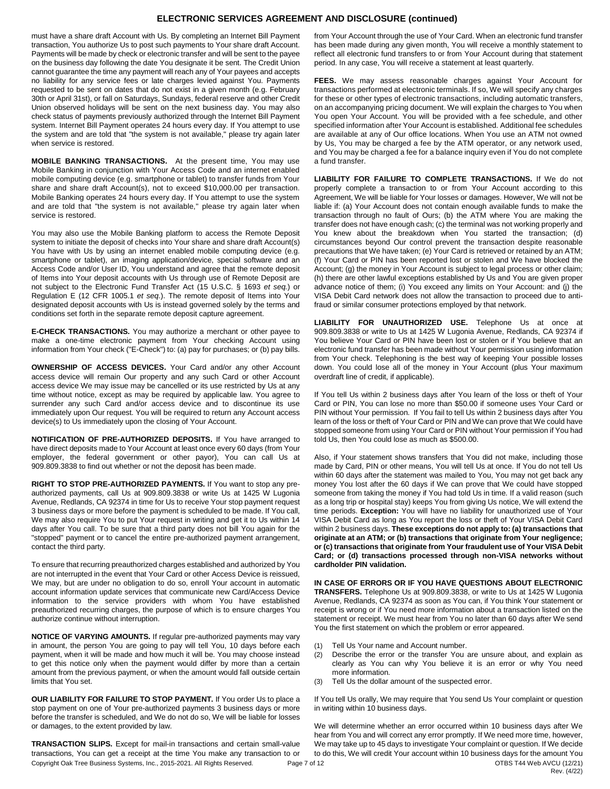# **ELECTRONIC SERVICES AGREEMENT AND DISCLOSURE (continued)**

must have a share draft Account with Us. By completing an Internet Bill Payment transaction, You authorize Us to post such payments to Your share draft Account. Payments will be made by check or electronic transfer and will be sent to the payee on the business day following the date You designate it be sent. The Credit Union cannot guarantee the time any payment will reach any of Your payees and accepts no liability for any service fees or late charges levied against You. Payments requested to be sent on dates that do not exist in a given month (e.g. February 30th or April 31st), or fall on Saturdays, Sundays, federal reserve and other Credit Union observed holidays will be sent on the next business day. You may also check status of payments previously authorized through the Internet Bill Payment system. Internet Bill Payment operates 24 hours every day. If You attempt to use the system and are told that "the system is not available," please try again later when service is restored.

**MOBILE BANKING TRANSACTIONS.** At the present time, You may use Mobile Banking in conjunction with Your Access Code and an internet enabled mobile computing device (e.g. smartphone or tablet) to transfer funds from Your share and share draft Account(s), not to exceed \$10,000.00 per transaction. Mobile Banking operates 24 hours every day. If You attempt to use the system and are told that "the system is not available," please try again later when service is restored.

You may also use the Mobile Banking platform to access the Remote Deposit system to initiate the deposit of checks into Your share and share draft Account(s) You have with Us by using an internet enabled mobile computing device (e.g. smartphone or tablet), an imaging application/device, special software and an Access Code and/or User ID, You understand and agree that the remote deposit of Items into Your deposit accounts with Us through use of Remote Deposit are not subject to the Electronic Fund Transfer Act (15 U.S.C. § 1693 *et seq.*) or Regulation E (12 CFR 1005.1 *et seq.*). The remote deposit of Items into Your designated deposit accounts with Us is instead governed solely by the terms and conditions set forth in the separate remote deposit capture agreement.

**E-CHECK TRANSACTIONS.** You may authorize a merchant or other payee to make a one-time electronic payment from Your checking Account using information from Your check ("E-Check") to: (a) pay for purchases; or (b) pay bills.

**OWNERSHIP OF ACCESS DEVICES.** Your Card and/or any other Account access device will remain Our property and any such Card or other Account access device We may issue may be cancelled or its use restricted by Us at any time without notice, except as may be required by applicable law. You agree to surrender any such Card and/or access device and to discontinue its use immediately upon Our request. You will be required to return any Account access device(s) to Us immediately upon the closing of Your Account.

**NOTIFICATION OF PRE-AUTHORIZED DEPOSITS.** If You have arranged to have direct deposits made to Your Account at least once every 60 days (from Your employer, the federal government or other payor), You can call Us at 909.809.3838 to find out whether or not the deposit has been made.

**RIGHT TO STOP PRE-AUTHORIZED PAYMENTS.** If You want to stop any preauthorized payments, call Us at 909.809.3838 or write Us at 1425 W Lugonia Avenue, Redlands, CA 92374 in time for Us to receive Your stop payment request 3 business days or more before the payment is scheduled to be made. If You call, We may also require You to put Your request in writing and get it to Us within 14 days after You call. To be sure that a third party does not bill You again for the "stopped" payment or to cancel the entire pre-authorized payment arrangement, contact the third party.

To ensure that recurring preauthorized charges established and authorized by You are not interrupted in the event that Your Card or other Access Device is reissued, We may, but are under no obligation to do so, enroll Your account in automatic account information update services that communicate new Card/Access Device information to the service providers with whom You have established preauthorized recurring charges, the purpose of which is to ensure charges You authorize continue without interruption.

**NOTICE OF VARYING AMOUNTS.** If regular pre-authorized payments may vary in amount, the person You are going to pay will tell You, 10 days before each payment, when it will be made and how much it will be. You may choose instead to get this notice only when the payment would differ by more than a certain amount from the previous payment, or when the amount would fall outside certain limits that You set.

**OUR LIABILITY FOR FAILURE TO STOP PAYMENT.** If You order Us to place a stop payment on one of Your pre-authorized payments 3 business days or more before the transfer is scheduled, and We do not do so, We will be liable for losses or damages, to the extent provided by law.

Copyright Oak Tree Business Systems, Inc., 2015-2021. All Rights Reserved. Page 7 of 12 OTBS T44 Web AVCU (12/21) **TRANSACTION SLIPS.** Except for mail-in transactions and certain small-value transactions, You can get a receipt at the time You make any transaction to or

from Your Account through the use of Your Card. When an electronic fund transfer has been made during any given month, You will receive a monthly statement to reflect all electronic fund transfers to or from Your Account during that statement period. In any case, You will receive a statement at least quarterly.

**FEES.** We may assess reasonable charges against Your Account for transactions performed at electronic terminals. If so, We will specify any charges for these or other types of electronic transactions, including automatic transfers, on an accompanying pricing document. We will explain the charges to You when You open Your Account. You will be provided with a fee schedule, and other specified information after Your Account is established. Additional fee schedules are available at any of Our office locations. When You use an ATM not owned by Us, You may be charged a fee by the ATM operator, or any network used, and You may be charged a fee for a balance inquiry even if You do not complete a fund transfer.

**LIABILITY FOR FAILURE TO COMPLETE TRANSACTIONS.** If We do not properly complete a transaction to or from Your Account according to this Agreement, We will be liable for Your losses or damages. However, We will not be liable if: (a) Your Account does not contain enough available funds to make the transaction through no fault of Ours; (b) the ATM where You are making the transfer does not have enough cash; (c) the terminal was not working properly and You knew about the breakdown when You started the transaction; (d) circumstances beyond Our control prevent the transaction despite reasonable precautions that We have taken; (e) Your Card is retrieved or retained by an ATM; (f) Your Card or PIN has been reported lost or stolen and We have blocked the Account; (g) the money in Your Account is subject to legal process or other claim; (h) there are other lawful exceptions established by Us and You are given proper advance notice of them; (i) You exceed any limits on Your Account: and (j) the VISA Debit Card network does not allow the transaction to proceed due to antifraud or similar consumer protections employed by that network.

**LIABILITY FOR UNAUTHORIZED USE.** Telephone Us at once at 909.809.3838 or write to Us at 1425 W Lugonia Avenue, Redlands, CA 92374 if You believe Your Card or PIN have been lost or stolen or if You believe that an electronic fund transfer has been made without Your permission using information from Your check. Telephoning is the best way of keeping Your possible losses down. You could lose all of the money in Your Account (plus Your maximum overdraft line of credit, if applicable).

If You tell Us within 2 business days after You learn of the loss or theft of Your Card or PIN, You can lose no more than \$50.00 if someone uses Your Card or PIN without Your permission. If You fail to tell Us within 2 business days after You learn of the loss or theft of Your Card or PIN and We can prove that We could have stopped someone from using Your Card or PIN without Your permission if You had told Us, then You could lose as much as \$500.00.

Also, if Your statement shows transfers that You did not make, including those made by Card, PIN or other means, You will tell Us at once. If You do not tell Us within 60 days after the statement was mailed to You, You may not get back any money You lost after the 60 days if We can prove that We could have stopped someone from taking the money if You had told Us in time. If a valid reason (such as a long trip or hospital stay) keeps You from giving Us notice, We will extend the time periods. **Exception:** You will have no liability for unauthorized use of Your VISA Debit Card as long as You report the loss or theft of Your VISA Debit Card within 2 business days. **These exceptions do not apply to: (a) transactions that originate at an ATM; or (b) transactions that originate from Your negligence; or (c) transactions that originate from Your fraudulent use of Your VISA Debit Card; or (d) transactions processed through non-VISA networks without cardholder PIN validation.** 

**IN CASE OF ERRORS OR IF YOU HAVE QUESTIONS ABOUT ELECTRONIC TRANSFERS.** Telephone Us at 909.809.3838, or write to Us at 1425 W Lugonia Avenue, Redlands, CA 92374 as soon as You can, if You think Your statement or receipt is wrong or if You need more information about a transaction listed on the statement or receipt. We must hear from You no later than 60 days after We send You the first statement on which the problem or error appeared.

- (1) Tell Us Your name and Account number.
- (2) Describe the error or the transfer You are unsure about, and explain as clearly as You can why You believe it is an error or why You need more information.
- (3) Tell Us the dollar amount of the suspected error.

If You tell Us orally, We may require that You send Us Your complaint or question in writing within 10 business days.

Rev. (4/22) We will determine whether an error occurred within 10 business days after We hear from You and will correct any error promptly. If We need more time, however, We may take up to 45 days to investigate Your complaint or question. If We decide to do this, We will credit Your account within 10 business days for the amount You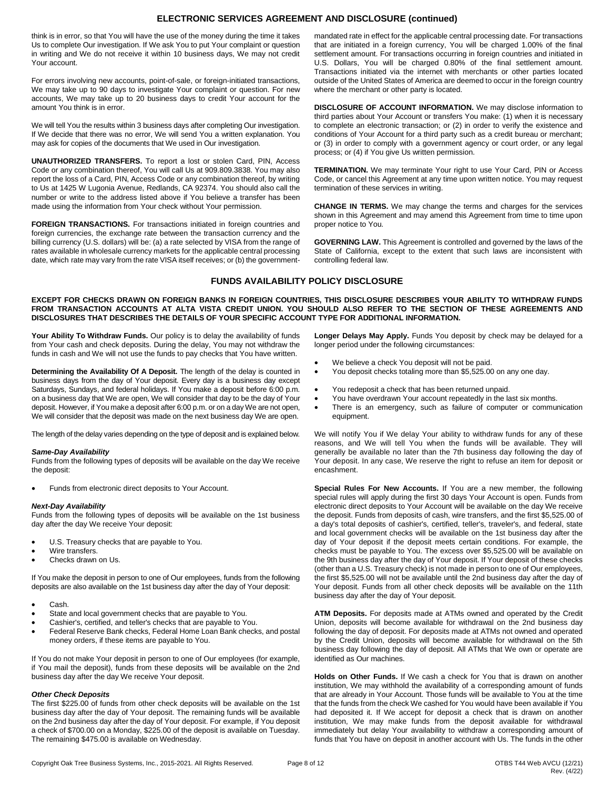# **ELECTRONIC SERVICES AGREEMENT AND DISCLOSURE (continued)**

think is in error, so that You will have the use of the money during the time it takes Us to complete Our investigation. If We ask You to put Your complaint or question in writing and We do not receive it within 10 business days, We may not credit Your account.

For errors involving new accounts, point-of-sale, or foreign-initiated transactions, We may take up to 90 days to investigate Your complaint or question. For new accounts, We may take up to 20 business days to credit Your account for the amount You think is in error.

We will tell You the results within 3 business days after completing Our investigation. If We decide that there was no error, We will send You a written explanation. You may ask for copies of the documents that We used in Our investigation.

**UNAUTHORIZED TRANSFERS.** To report a lost or stolen Card, PIN, Access Code or any combination thereof, You will call Us at 909.809.3838. You may also report the loss of a Card, PIN, Access Code or any combination thereof, by writing to Us at 1425 W Lugonia Avenue, Redlands, CA 92374. You should also call the number or write to the address listed above if You believe a transfer has been made using the information from Your check without Your permission.

**FOREIGN TRANSACTIONS.** For transactions initiated in foreign countries and foreign currencies, the exchange rate between the transaction currency and the billing currency (U.S. dollars) will be: (a) a rate selected by VISA from the range of rates available in wholesale currency markets for the applicable central processing date, which rate may vary from the rate VISA itself receives; or (b) the governmentmandated rate in effect for the applicable central processing date. For transactions that are initiated in a foreign currency, You will be charged 1.00% of the final settlement amount. For transactions occurring in foreign countries and initiated in U.S. Dollars, You will be charged 0.80% of the final settlement amount. Transactions initiated via the internet with merchants or other parties located outside of the United States of America are deemed to occur in the foreign country where the merchant or other party is located.

**DISCLOSURE OF ACCOUNT INFORMATION.** We may disclose information to third parties about Your Account or transfers You make: (1) when it is necessary to complete an electronic transaction; or (2) in order to verify the existence and conditions of Your Account for a third party such as a credit bureau or merchant; or (3) in order to comply with a government agency or court order, or any legal process; or (4) if You give Us written permission.

**TERMINATION.** We may terminate Your right to use Your Card, PIN or Access Code, or cancel this Agreement at any time upon written notice. You may request termination of these services in writing.

**CHANGE IN TERMS.** We may change the terms and charges for the services shown in this Agreement and may amend this Agreement from time to time upon proper notice to You.

**GOVERNING LAW.** This Agreement is controlled and governed by the laws of the State of California, except to the extent that such laws are inconsistent with controlling federal law.

# **FUNDS AVAILABILITY POLICY DISCLOSURE**

#### **EXCEPT FOR CHECKS DRAWN ON FOREIGN BANKS IN FOREIGN COUNTRIES, THIS DISCLOSURE DESCRIBES YOUR ABILITY TO WITHDRAW FUNDS FROM TRANSACTION ACCOUNTS AT ALTA VISTA CREDIT UNION. YOU SHOULD ALSO REFER TO THE SECTION OF THESE AGREEMENTS AND DISCLOSURES THAT DESCRIBES THE DETAILS OF YOUR SPECIFIC ACCOUNT TYPE FOR ADDITIONAL INFORMATION.**

**Your Ability To Withdraw Funds.** Our policy is to delay the availability of funds from Your cash and check deposits. During the delay, You may not withdraw the funds in cash and We will not use the funds to pay checks that You have written.

**Determining the Availability Of A Deposit.** The length of the delay is counted in business days from the day of Your deposit. Every day is a business day except Saturdays, Sundays, and federal holidays. If You make a deposit before 6:00 p.m. on a business day that We are open, We will consider that day to be the day of Your deposit. However, if You make a deposit after 6:00 p.m. or on a day We are not open, We will consider that the deposit was made on the next business day We are open.

The length of the delay varies depending on the type of deposit and is explained below.

#### *Same-Day Availability*

Funds from the following types of deposits will be available on the day We receive the deposit:

Funds from electronic direct deposits to Your Account.

#### *Next-Day Availability*

Funds from the following types of deposits will be available on the 1st business day after the day We receive Your deposit:

- U.S. Treasury checks that are payable to You.
- Wire transfers.
- Checks drawn on Us.

If You make the deposit in person to one of Our employees, funds from the following deposits are also available on the 1st business day after the day of Your deposit:

- Cash.
- State and local government checks that are payable to You.
- Cashier's, certified, and teller's checks that are payable to You.
- Federal Reserve Bank checks, Federal Home Loan Bank checks, and postal money orders, if these items are payable to You.

If You do not make Your deposit in person to one of Our employees (for example, if You mail the deposit), funds from these deposits will be available on the 2nd business day after the day We receive Your deposit.

#### *Other Check Deposits*

The first \$225.00 of funds from other check deposits will be available on the 1st business day after the day of Your deposit. The remaining funds will be available on the 2nd business day after the day of Your deposit. For example, if You deposit a check of \$700.00 on a Monday, \$225.00 of the deposit is available on Tuesday. The remaining \$475.00 is available on Wednesday.

**Longer Delays May Apply.** Funds You deposit by check may be delayed for a longer period under the following circumstances:

- We believe a check You deposit will not be paid.
- You deposit checks totaling more than \$5,525.00 on any one day.
- You redeposit a check that has been returned unpaid.
- You have overdrawn Your account repeatedly in the last six months.
- There is an emergency, such as failure of computer or communication equipment.

We will notify You if We delay Your ability to withdraw funds for any of these reasons, and We will tell You when the funds will be available. They will generally be available no later than the 7th business day following the day of Your deposit. In any case, We reserve the right to refuse an item for deposit or encashment.

**Special Rules For New Accounts.** If You are a new member, the following special rules will apply during the first 30 days Your Account is open. Funds from electronic direct deposits to Your Account will be available on the day We receive the deposit. Funds from deposits of cash, wire transfers, and the first \$5,525.00 of a day's total deposits of cashier's, certified, teller's, traveler's, and federal, state and local government checks will be available on the 1st business day after the day of Your deposit if the deposit meets certain conditions. For example, the checks must be payable to You. The excess over \$5,525.00 will be available on the 9th business day after the day of Your deposit. If Your deposit of these checks (other than a U.S. Treasury check) is not made in person to one of Our employees, the first \$5,525.00 will not be available until the 2nd business day after the day of Your deposit. Funds from all other check deposits will be available on the 11th business day after the day of Your deposit.

**ATM Deposits.** For deposits made at ATMs owned and operated by the Credit Union, deposits will become available for withdrawal on the 2nd business day following the day of deposit. For deposits made at ATMs not owned and operated by the Credit Union, deposits will become available for withdrawal on the 5th business day following the day of deposit. All ATMs that We own or operate are identified as Our machines.

**Holds on Other Funds.** If We cash a check for You that is drawn on another institution, We may withhold the availability of a corresponding amount of funds that are already in Your Account. Those funds will be available to You at the time that the funds from the check We cashed for You would have been available if You had deposited it. If We accept for deposit a check that is drawn on another institution, We may make funds from the deposit available for withdrawal immediately but delay Your availability to withdraw a corresponding amount of funds that You have on deposit in another account with Us. The funds in the other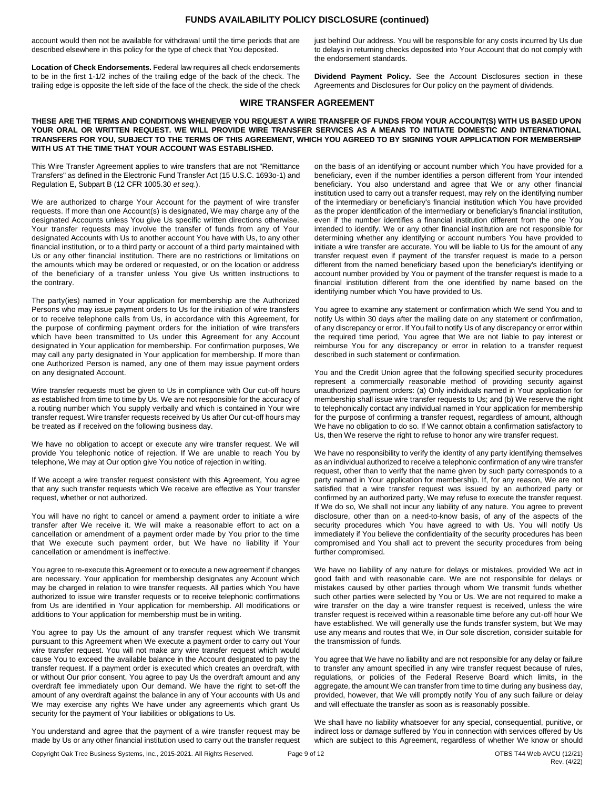#### **FUNDS AVAILABILITY POLICY DISCLOSURE (continued)**

account would then not be available for withdrawal until the time periods that are described elsewhere in this policy for the type of check that You deposited.

**Location of Check Endorsements.** Federal law requires all check endorsements to be in the first 1-1/2 inches of the trailing edge of the back of the check. The trailing edge is opposite the left side of the face of the check, the side of the check just behind Our address. You will be responsible for any costs incurred by Us due to delays in returning checks deposited into Your Account that do not comply with the endorsement standards.

**Dividend Payment Policy.** See the Account Disclosures section in these Agreements and Disclosures for Our policy on the payment of dividends.

# **WIRE TRANSFER AGREEMENT**

#### **THESE ARE THE TERMS AND CONDITIONS WHENEVER YOU REQUEST A WIRE TRANSFER OF FUNDS FROM YOUR ACCOUNT(S) WITH US BASED UPON YOUR ORAL OR WRITTEN REQUEST. WE WILL PROVIDE WIRE TRANSFER SERVICES AS A MEANS TO INITIATE DOMESTIC AND INTERNATIONAL TRANSFERS FOR YOU, SUBJECT TO THE TERMS OF THIS AGREEMENT, WHICH YOU AGREED TO BY SIGNING YOUR APPLICATION FOR MEMBERSHIP WITH US AT THE TIME THAT YOUR ACCOUNT WAS ESTABLISHED.**

This Wire Transfer Agreement applies to wire transfers that are not "Remittance Transfers" as defined in the Electronic Fund Transfer Act (15 U.S.C. 1693o-1) and Regulation E, Subpart B (12 CFR 1005.30 *et seq.*).

We are authorized to charge Your Account for the payment of wire transfer requests. If more than one Account(s) is designated, We may charge any of the designated Accounts unless You give Us specific written directions otherwise. Your transfer requests may involve the transfer of funds from any of Your designated Accounts with Us to another account You have with Us, to any other financial institution, or to a third party or account of a third party maintained with Us or any other financial institution. There are no restrictions or limitations on the amounts which may be ordered or requested, or on the location or address of the beneficiary of a transfer unless You give Us written instructions to the contrary.

The party(ies) named in Your application for membership are the Authorized Persons who may issue payment orders to Us for the initiation of wire transfers or to receive telephone calls from Us, in accordance with this Agreement, for the purpose of confirming payment orders for the initiation of wire transfers which have been transmitted to Us under this Agreement for any Account designated in Your application for membership. For confirmation purposes, We may call any party designated in Your application for membership. If more than one Authorized Person is named, any one of them may issue payment orders on any designated Account.

Wire transfer requests must be given to Us in compliance with Our cut-off hours as established from time to time by Us. We are not responsible for the accuracy of a routing number which You supply verbally and which is contained in Your wire transfer request. Wire transfer requests received by Us after Our cut-off hours may be treated as if received on the following business day.

We have no obligation to accept or execute any wire transfer request. We will provide You telephonic notice of rejection. If We are unable to reach You by telephone, We may at Our option give You notice of rejection in writing.

If We accept a wire transfer request consistent with this Agreement, You agree that any such transfer requests which We receive are effective as Your transfer request, whether or not authorized.

You will have no right to cancel or amend a payment order to initiate a wire transfer after We receive it. We will make a reasonable effort to act on a cancellation or amendment of a payment order made by You prior to the time that We execute such payment order, but We have no liability if Your cancellation or amendment is ineffective.

You agree to re-execute this Agreement or to execute a new agreement if changes are necessary. Your application for membership designates any Account which may be charged in relation to wire transfer requests. All parties which You have authorized to issue wire transfer requests or to receive telephonic confirmations from Us are identified in Your application for membership. All modifications or additions to Your application for membership must be in writing.

You agree to pay Us the amount of any transfer request which We transmit pursuant to this Agreement when We execute a payment order to carry out Your wire transfer request. You will not make any wire transfer request which would cause You to exceed the available balance in the Account designated to pay the transfer request. If a payment order is executed which creates an overdraft, with or without Our prior consent, You agree to pay Us the overdraft amount and any overdraft fee immediately upon Our demand. We have the right to set-off the amount of any overdraft against the balance in any of Your accounts with Us and We may exercise any rights We have under any agreements which grant Us security for the payment of Your liabilities or obligations to Us.

You understand and agree that the payment of a wire transfer request may be made by Us or any other financial institution used to carry out the transfer request on the basis of an identifying or account number which You have provided for a beneficiary, even if the number identifies a person different from Your intended beneficiary. You also understand and agree that We or any other financial institution used to carry out a transfer request, may rely on the identifying number of the intermediary or beneficiary's financial institution which You have provided as the proper identification of the intermediary or beneficiary's financial institution, even if the number identifies a financial institution different from the one You intended to identify. We or any other financial institution are not responsible for determining whether any identifying or account numbers You have provided to initiate a wire transfer are accurate. You will be liable to Us for the amount of any transfer request even if payment of the transfer request is made to a person different from the named beneficiary based upon the beneficiary's identifying or account number provided by You or payment of the transfer request is made to a financial institution different from the one identified by name based on the identifying number which You have provided to Us.

You agree to examine any statement or confirmation which We send You and to notify Us within 30 days after the mailing date on any statement or confirmation, of any discrepancy or error. If You fail to notify Us of any discrepancy or error within the required time period, You agree that We are not liable to pay interest or reimburse You for any discrepancy or error in relation to a transfer request described in such statement or confirmation.

You and the Credit Union agree that the following specified security procedures represent a commercially reasonable method of providing security against unauthorized payment orders: (a) Only individuals named in Your application for membership shall issue wire transfer requests to Us; and (b) We reserve the right to telephonically contact any individual named in Your application for membership for the purpose of confirming a transfer request, regardless of amount, although We have no obligation to do so. If We cannot obtain a confirmation satisfactory to Us, then We reserve the right to refuse to honor any wire transfer request.

We have no responsibility to verify the identity of any party identifying themselves as an individual authorized to receive a telephonic confirmation of any wire transfer request, other than to verify that the name given by such party corresponds to a party named in Your application for membership. If, for any reason, We are not satisfied that a wire transfer request was issued by an authorized party or confirmed by an authorized party, We may refuse to execute the transfer request. If We do so, We shall not incur any liability of any nature. You agree to prevent disclosure, other than on a need-to-know basis, of any of the aspects of the security procedures which You have agreed to with Us. You will notify Us immediately if You believe the confidentiality of the security procedures has been compromised and You shall act to prevent the security procedures from being further compromised.

We have no liability of any nature for delays or mistakes, provided We act in good faith and with reasonable care. We are not responsible for delays or mistakes caused by other parties through whom We transmit funds whether such other parties were selected by You or Us. We are not required to make a wire transfer on the day a wire transfer request is received, unless the wire transfer request is received within a reasonable time before any cut-off hour We have established. We will generally use the funds transfer system, but We may use any means and routes that We, in Our sole discretion, consider suitable for the transmission of funds.

You agree that We have no liability and are not responsible for any delay or failure to transfer any amount specified in any wire transfer request because of rules, regulations, or policies of the Federal Reserve Board which limits, in the aggregate, the amount We can transfer from time to time during any business day, provided, however, that We will promptly notify You of any such failure or delay and will effectuate the transfer as soon as is reasonably possible.

We shall have no liability whatsoever for any special, consequential, punitive, or indirect loss or damage suffered by You in connection with services offered by Us which are subject to this Agreement, regardless of whether We know or should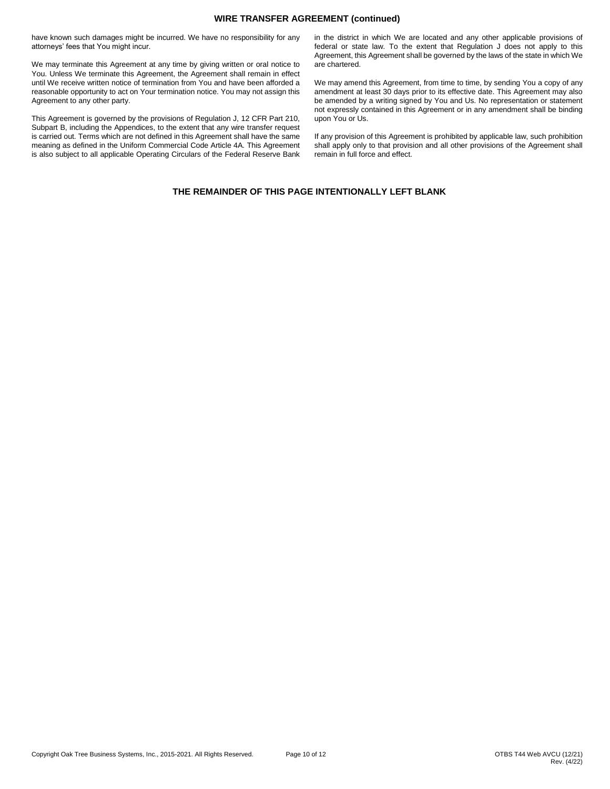#### **WIRE TRANSFER AGREEMENT (continued)**

have known such damages might be incurred. We have no responsibility for any attorneys' fees that You might incur.

We may terminate this Agreement at any time by giving written or oral notice to You. Unless We terminate this Agreement, the Agreement shall remain in effect until We receive written notice of termination from You and have been afforded a reasonable opportunity to act on Your termination notice. You may not assign this Agreement to any other party.

This Agreement is governed by the provisions of Regulation J, 12 CFR Part 210, Subpart B, including the Appendices, to the extent that any wire transfer request is carried out. Terms which are not defined in this Agreement shall have the same meaning as defined in the Uniform Commercial Code Article 4A. This Agreement is also subject to all applicable Operating Circulars of the Federal Reserve Bank in the district in which We are located and any other applicable provisions of federal or state law. To the extent that Regulation J does not apply to this Agreement, this Agreement shall be governed by the laws of the state in which We are chartered.

We may amend this Agreement, from time to time, by sending You a copy of any amendment at least 30 days prior to its effective date. This Agreement may also be amended by a writing signed by You and Us. No representation or statement not expressly contained in this Agreement or in any amendment shall be binding upon You or Us.

If any provision of this Agreement is prohibited by applicable law, such prohibition shall apply only to that provision and all other provisions of the Agreement shall remain in full force and effect.

# **THE REMAINDER OF THIS PAGE INTENTIONALLY LEFT BLANK**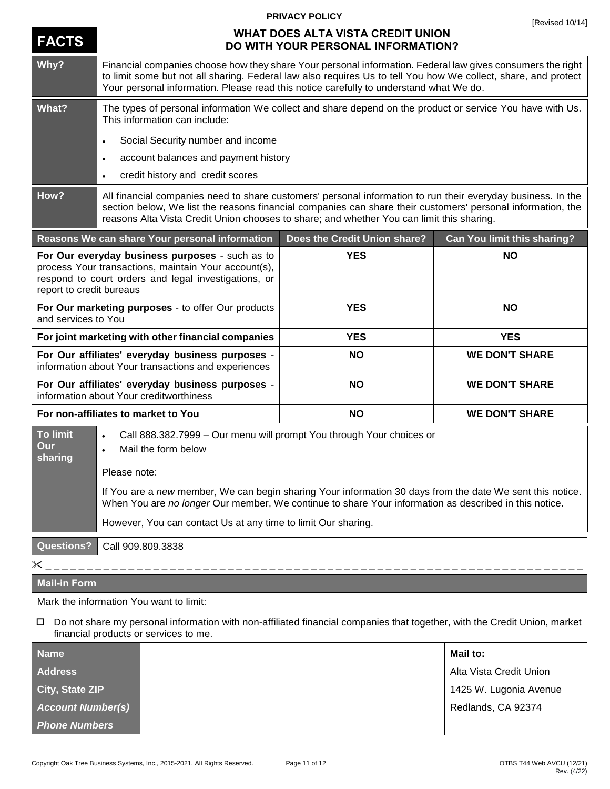|                                                                                                                                                                                             |                                                                                                                                                                                                                                                                                                                                                                                                                 | <b>PRIVACY POLICY</b>        | [Revised 10/14]                    |  |
|---------------------------------------------------------------------------------------------------------------------------------------------------------------------------------------------|-----------------------------------------------------------------------------------------------------------------------------------------------------------------------------------------------------------------------------------------------------------------------------------------------------------------------------------------------------------------------------------------------------------------|------------------------------|------------------------------------|--|
| <b>FACTS</b>                                                                                                                                                                                | <b>WHAT DOES ALTA VISTA CREDIT UNION</b><br>DO WITH YOUR PERSONAL INFORMATION?                                                                                                                                                                                                                                                                                                                                  |                              |                                    |  |
| Why?                                                                                                                                                                                        | Financial companies choose how they share Your personal information. Federal law gives consumers the right<br>to limit some but not all sharing. Federal law also requires Us to tell You how We collect, share, and protect<br>Your personal information. Please read this notice carefully to understand what We do.                                                                                          |                              |                                    |  |
| What?                                                                                                                                                                                       | The types of personal information We collect and share depend on the product or service You have with Us.<br>This information can include:                                                                                                                                                                                                                                                                      |                              |                                    |  |
|                                                                                                                                                                                             | Social Security number and income                                                                                                                                                                                                                                                                                                                                                                               |                              |                                    |  |
|                                                                                                                                                                                             | account balances and payment history<br>$\bullet$                                                                                                                                                                                                                                                                                                                                                               |                              |                                    |  |
|                                                                                                                                                                                             | credit history and credit scores<br>$\bullet$                                                                                                                                                                                                                                                                                                                                                                   |                              |                                    |  |
| How?                                                                                                                                                                                        | All financial companies need to share customers' personal information to run their everyday business. In the<br>section below, We list the reasons financial companies can share their customers' personal information, the<br>reasons Alta Vista Credit Union chooses to share; and whether You can limit this sharing.                                                                                        |                              |                                    |  |
|                                                                                                                                                                                             | Reasons We can share Your personal information                                                                                                                                                                                                                                                                                                                                                                  | Does the Credit Union share? | <b>Can You limit this sharing?</b> |  |
| For Our everyday business purposes - such as to<br>process Your transactions, maintain Your account(s),<br>respond to court orders and legal investigations, or<br>report to credit bureaus |                                                                                                                                                                                                                                                                                                                                                                                                                 | <b>YES</b>                   | <b>NO</b>                          |  |
| For Our marketing purposes - to offer Our products<br>and services to You                                                                                                                   |                                                                                                                                                                                                                                                                                                                                                                                                                 | <b>YES</b>                   | <b>NO</b>                          |  |
| For joint marketing with other financial companies                                                                                                                                          |                                                                                                                                                                                                                                                                                                                                                                                                                 | <b>YES</b>                   | <b>YES</b>                         |  |
| For Our affiliates' everyday business purposes -<br>information about Your transactions and experiences                                                                                     |                                                                                                                                                                                                                                                                                                                                                                                                                 | <b>NO</b>                    | <b>WE DON'T SHARE</b>              |  |
| For Our affiliates' everyday business purposes -<br>information about Your creditworthiness                                                                                                 |                                                                                                                                                                                                                                                                                                                                                                                                                 | <b>NO</b>                    | <b>WE DON'T SHARE</b>              |  |
| For non-affiliates to market to You                                                                                                                                                         |                                                                                                                                                                                                                                                                                                                                                                                                                 | <b>NO</b>                    | <b>WE DON'T SHARE</b>              |  |
| <b>To limit</b><br>Our<br>sharing                                                                                                                                                           | Call 888.382.7999 - Our menu will prompt You through Your choices or<br>Mail the form below<br>$\bullet$<br>Please note:<br>If You are a new member, We can begin sharing Your information 30 days from the date We sent this notice.<br>When You are no longer Our member, We continue to share Your information as described in this notice.<br>However, You can contact Us at any time to limit Our sharing. |                              |                                    |  |
| <b>Questions?</b>                                                                                                                                                                           | Call 909.809.3838                                                                                                                                                                                                                                                                                                                                                                                               |                              |                                    |  |
| $\times$<br>___________________________                                                                                                                                                     |                                                                                                                                                                                                                                                                                                                                                                                                                 |                              |                                    |  |
| <b>Mail-in Form</b>                                                                                                                                                                         |                                                                                                                                                                                                                                                                                                                                                                                                                 |                              |                                    |  |
|                                                                                                                                                                                             | Mark the information You want to limit:                                                                                                                                                                                                                                                                                                                                                                         |                              |                                    |  |
| Do not share my personal information with non-affiliated financial companies that together, with the Credit Union, market<br>ப<br>financial products or services to me.                     |                                                                                                                                                                                                                                                                                                                                                                                                                 |                              |                                    |  |
| <b>Name</b>                                                                                                                                                                                 |                                                                                                                                                                                                                                                                                                                                                                                                                 |                              | Mail to:                           |  |
| <b>Address</b>                                                                                                                                                                              |                                                                                                                                                                                                                                                                                                                                                                                                                 |                              | Alta Vista Credit Union            |  |
| City, State ZIP                                                                                                                                                                             |                                                                                                                                                                                                                                                                                                                                                                                                                 |                              | 1425 W. Lugonia Avenue             |  |
| <b>Account Number(s)</b>                                                                                                                                                                    |                                                                                                                                                                                                                                                                                                                                                                                                                 |                              | Redlands, CA 92374                 |  |
| <b>Phone Numbers</b>                                                                                                                                                                        |                                                                                                                                                                                                                                                                                                                                                                                                                 |                              |                                    |  |

*Phone Numbers*